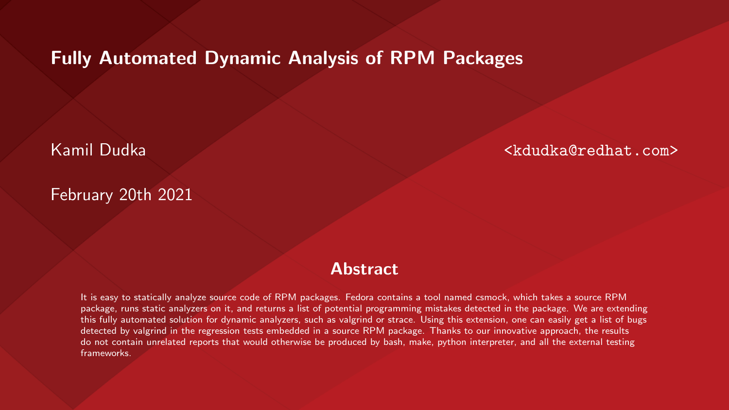#### Fully Automated Dynamic Analysis of RPM Packages

Kamil Dudka <kdudka@redhat.com>

#### February 20th 2021

#### **Abstract**

It is easy to statically analyze source code of RPM packages. Fedora contains a tool named csmock, which takes a source RPM package, runs static analyzers on it, and returns a list of potential programming mistakes detected in the package. We are extending this fully automated solution for dynamic analyzers, such as valgrind or strace. Using this extension, one can easily get a list of bugs detected by valgrind in the regression tests embedded in a source RPM package. Thanks to our innovative approach, the results do not contain unrelated reports that would otherwise be produced by bash, make, python interpreter, and all the external testing frameworks.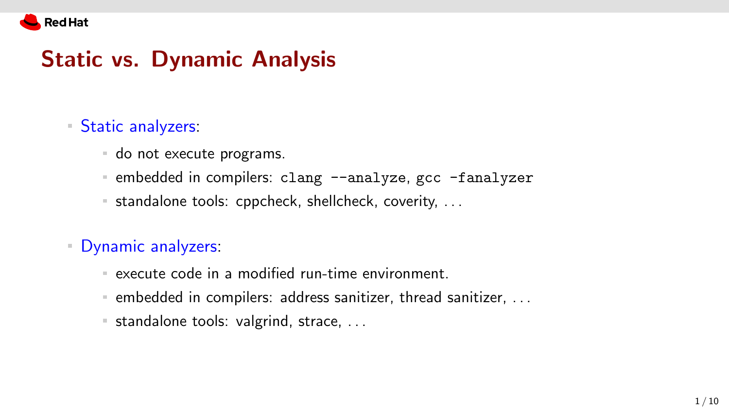

#### Static vs. Dynamic Analysis

#### **Static analyzers:**

- do not execute programs.
- **Exercise 1** and the compilers: clang  $-\text{analyze}$ , gcc  $-\text{analyzer}$
- $\blacksquare$  standalone tools: cppcheck, shellcheck, coverity, ...

Dynamic analyzers:

- execute code in a modified run-time environment.
- $\blacksquare$  embedded in compilers: address sanitizer, thread sanitizer, ...
- $\blacksquare$  standalone tools: valgrind, strace, ...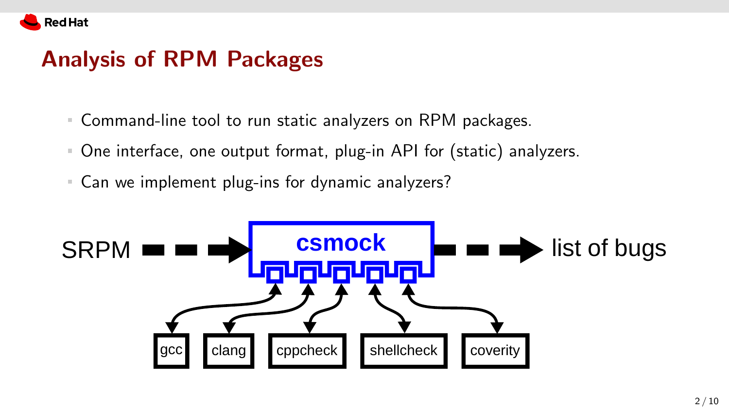

#### Analysis of RPM Packages

- Command-line tool to run static analyzers on RPM packages.
- One interface, one output format, plug-in API for (static) analyzers.
- Can we implement plug-ins for dynamic analyzers?

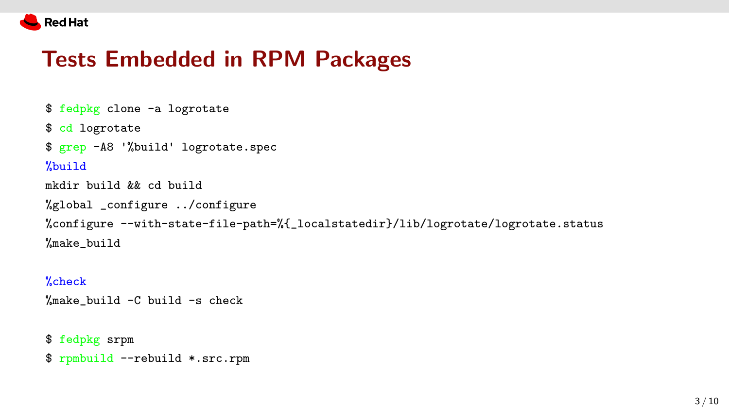

## Tests Embedded in RPM Packages

```
$ fedpkg clone -a logrotate
$ cd logrotate
$ grep -A8 '%build' logrotate.spec
%build
mkdir build && cd build
%global _configure ../configure
%configure --with-state-file-path=%{_localstatedir}/lib/logrotate/logrotate.status
%make_build
```
#### %check

%make build -C build -s check

```
$ fedpkg srpm
$ rpmbuild --rebuild *.src.rpm
```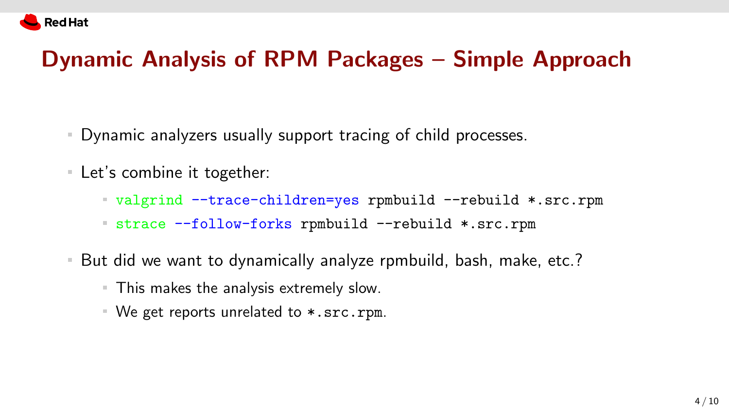

## Dynamic Analysis of RPM Packages – Simple Approach

- Dynamic analyzers usually support tracing of child processes.
- Let's combine it together:
	- valgrind --trace-children=yes rpmbuild --rebuild \*.src.rpm
	- strace --follow-forks rpmbuild --rebuild \*.src.rpm
- But did we want to dynamically analyze rpmbuild, bash, make, etc.?
	- This makes the analysis extremely slow.
	- We get reports unrelated to \*.src.rpm.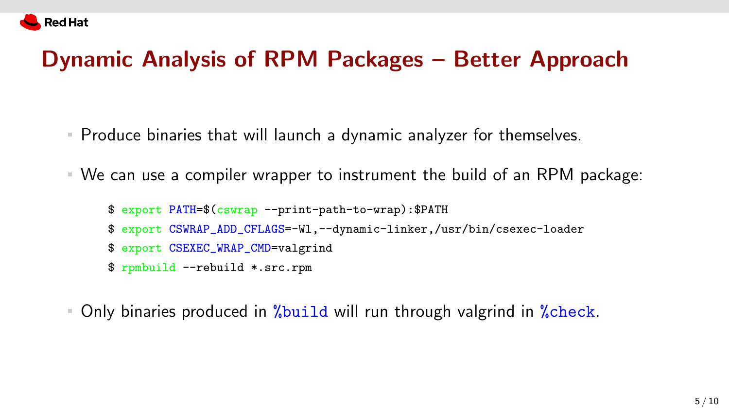

## Dynamic Analysis of RPM Packages – Better Approach

- Produce binaries that will launch a dynamic analyzer for themselves.
- We can use a compiler wrapper to instrument the build of an RPM package:

```
$ export PATH=$(cswrap --print-path-to-wrap):$PATH
$ export CSWRAP_ADD_CFLAGS=-Wl,--dynamic-linker,/usr/bin/csexec-loader
$ export CSEXEC_WRAP_CMD=valgrind
$ rpmbuild --rebuild *.src.rpm
```
Only binaries produced in *"build* will run through valgrind in "check.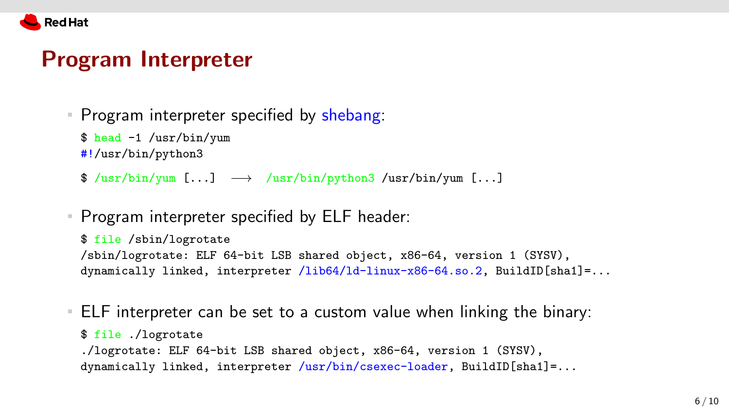

#### Program Interpreter

Program interpreter specified by shebang:

\$ head -1 /usr/bin/yum

#!/usr/bin/python3

- $\frac{1}{\sqrt{2}}$  /usr/bin/yum [...]  $\rightarrow$  /usr/bin/python3 /usr/bin/yum [...]
- **Program interpreter specified by ELF header:**

```
$ file /sbin/logrotate
/sbin/logrotate: ELF 64-bit LSB shared object, x86-64, version 1 (SYSV),
dynamically linked, interpreter /lib64/ld-linux-x86-64.so.2, BuildID[sha1]=...
```
ELF interpreter can be set to a custom value when linking the binary: \$ file ./logrotate ./logrotate: ELF 64-bit LSB shared object, x86-64, version 1 (SYSV), dynamically linked, interpreter /usr/bin/csexec-loader, BuildID[sha1]=...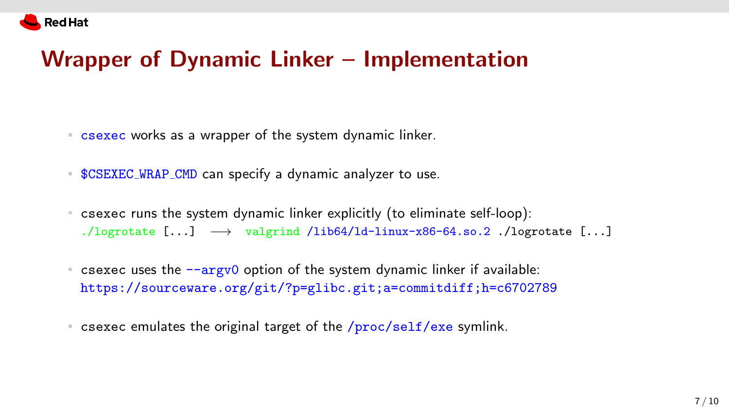# Wrapper of Dynamic Linker – Implementation

- **EXEC works as a wrapper of the system dynamic linker.**
- **\$CSEXEC\_WRAP\_CMD** can specify a dynamic analyzer to use.
- csexec runs the system dynamic linker explicitly (to eliminate self-loop): ./logrotate  $[...] \longrightarrow$  valgrind /lib64/ld-linux-x86-64.so.2 ./logrotate  $[...]$
- **Example 2** csexec uses the  $-\text{argv0}$  option of the system dynamic linker if available: <https://sourceware.org/git/?p=glibc.git;a=commitdiff;h=c6702789>
- s csexec emulates the original target of the  $/proc/self/exe$  symlink.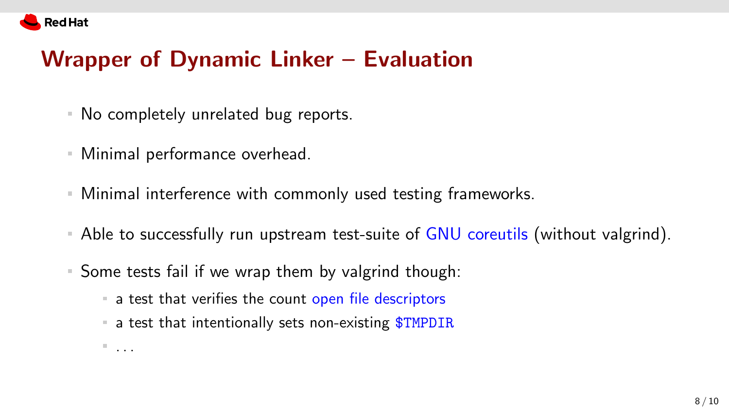

## Wrapper of Dynamic Linker – Evaluation

- No completely unrelated bug reports.
- Minimal performance overhead.

 $\mathbb{R}$  . . .

- Minimal interference with commonly used testing frameworks.
- Able to successfully run upstream test-suite of GNU coreutils (without valgrind).
- Some tests fail if we wrap them by valgrind though:
	- a test that verifies the count open file descriptors
	- $\blacksquare$  a test that intentionally sets non-existing  $$TMPDIR$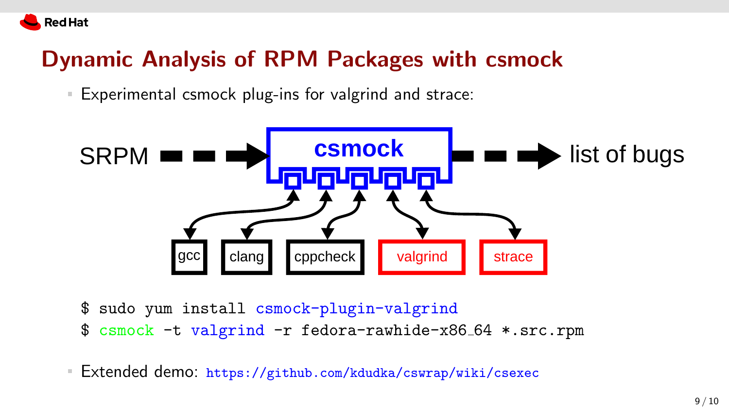

## Dynamic Analysis of RPM Packages with csmock

Experimental csmock plug-ins for valgrind and strace:



- \$ sudo yum install csmock-plugin-valgrind
- \$ csmock -t valgrind -r fedora-rawhide-x86 64 \*.src.rpm
- Extended demo: <https://github.com/kdudka/cswrap/wiki/csexec>